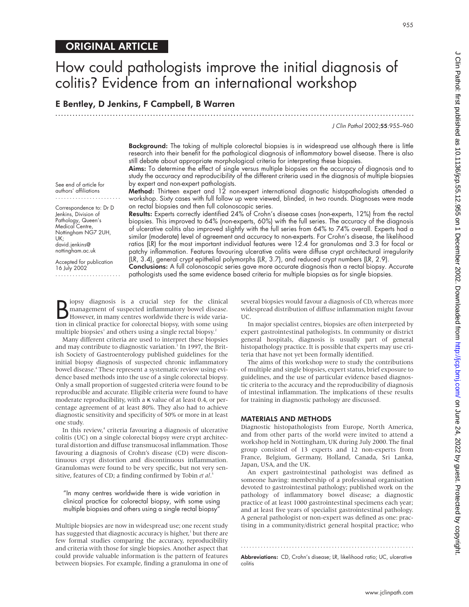# E Bentley, D Jenkins, F Campbell, B Warren

J Clin Pathol 2002;55:955–960

**Background:** The taking of multiple colorectal biopsies is in widespread use although there is little research into their benefit for the pathological diagnosis of inflammatory bowel disease. There is also still debate about appropriate morphological criteria for interpreting these biopsies.

Aims: To determine the effect of single versus multiple biopsies on the accuracy of diagnosis and to study the accuracy and reproducibility of the different criteria used in the diagnosis of multiple biopsies by expert and non-expert pathologists.

Method: Thirteen expert and 12 non-expert international diagnostic histopathologists attended a workshop. Sixty cases with full follow up were viewed, blinded, in two rounds. Diagnoses were made on rectal biopsies and then full colonoscopic series.

Results: Experts correctly identified 24% of Crohn's disease cases (non-experts, 12%) from the rectal biopsies. This improved to 64% (non-experts, 60%) with the full series. The accuracy of the diagnosis of ulcerative colitis also improved slightly with the full series from 64% to 74% overall. Experts had a similar (moderate) level of agreement and accuracy to non-experts. For Crohn's disease, the likelihood ratios (LR) for the most important individual features were 12.4 for granulomas and 3.3 for focal or patchy inflammation. Features favouring ulcerative colitis were diffuse crypt architectural irregularity (LR, 3.4), general crypt epithelial polymorphs (LR, 3.7), and reduced crypt numbers (LR, 2.9).

Conclusions: A full colonoscopic series gave more accurate diagnosis than a rectal biopsy. Accurate pathologists used the same evidence based criteria for multiple biopsies as for single biopsies.

B lopsy diagnosis is a crucial step for the clinical management of suspected inflammatory bowel disease.<br>However, in many centres worldwide there is wide variation in clinical practice for colorectal biopsy, with some usin iopsy diagnosis is a crucial step for the clinical management of suspected inflammatory bowel disease. However, in many centres worldwide there is wide variamultiple biopsies<sup>1</sup> and others using a single rectal biopsy.<sup>2</sup>

Many different criteria are used to interpret these biopsies and may contribute to diagnostic variation.<sup>3</sup> In 1997, the British Society of Gastroenterology published guidelines for the initial biopsy diagnosis of suspected chronic inflammatory bowel disease.<sup>4</sup> These represent a systematic review using evidence based methods into the use of a single colorectal biopsy. Only a small proportion of suggested criteria were found to be reproducible and accurate. Eligible criteria were found to have moderate reproducibility, with a κ value of at least 0.4, or percentage agreement of at least 80%. They also had to achieve diagnostic sensitivity and specificity of 50% or more in at least one study.

In this review,<sup>4</sup> criteria favouring a diagnosis of ulcerative colitis (UC) on a single colorectal biopsy were crypt architectural distortion and diffuse transmucosal inflammation. Those favouring a diagnosis of Crohn's disease (CD) were discontinuous crypt distortion and discontinuous inflammation. Granulomas were found to be very specific, but not very sensitive, features of CD; a finding confirmed by Tobin *et al*. 5

"In many centres worldwide there is wide variation in clinical practice for colorectal biopsy, with some using multiple biopsies and others using a single rectal biopsy"

Multiple biopsies are now in widespread use; one recent study has suggested that diagnostic accuracy is higher,<sup>1</sup> but there are few formal studies comparing the accuracy, reproducibility and criteria with those for single biopsies. Another aspect that could provide valuable information is the pattern of features between biopsies. For example, finding a granuloma in one of several biopsies would favour a diagnosis of CD, whereas more widespread distribution of diffuse inflammation might favour UC.

In major specialist centres, biopsies are often interpreted by expert gastrointestinal pathologists. In community or district general hospitals, diagnosis is usually part of general histopathology practice. It is possible that experts may use criteria that have not yet been formally identified.

The aims of this workshop were to study the contributions of multiple and single biopsies, expert status, brief exposure to guidelines, and the use of particular evidence based diagnostic criteria to the accuracy and the reproducibility of diagnosis of intestinal inflammation. The implications of these results for training in diagnostic pathology are discussed.

## MATERIALS AND METHODS

Diagnostic histopathologists from Europe, North America, and from other parts of the world were invited to attend a workshop held in Nottingham, UK during July 2000. The final group consisted of 13 experts and 12 non-experts from France, Belgium, Germany, Holland, Canada, Sri Lanka, Japan, USA, and the UK.

An expert gastrointestinal pathologist was defined as someone having: membership of a professional organisation devoted to gastrointestinal pathology; published work on the pathology of inflammatory bowel disease; a diagnostic practice of at least 1000 gastrointestinal specimens each year; and at least five years of specialist gastrointestinal pathology. A general pathologist or non-expert was defined as one: practising in a community/district general hospital practice; who

Abbreviations: CD, Crohn's disease; LR, likelihood ratio; UC, ulcerative colitis

.............................................................

.............................................................................................................................

www.jclinpath.com

See end of article for authors' affiliations .......................

Correspondence to: Dr D Jenkins, Division of Pathology, Queen's Medical Centre, Nottingham NG7 2UH, UK; david.jenkins@ nottingham.ac.uk

Accepted for publication 16 July 2002 .......................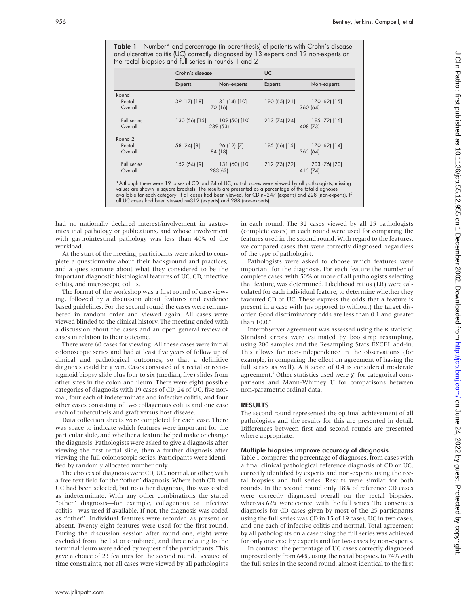Table 1 Number\* and percentage (in parenthesis) of patients with Crohn's disease and ulcerative colitis (UC) correctly diagnosed by 13 experts and 12 non-experts on the rectal biopsies and full series in rounds 1 and 2

|                              | Crohn's disease |                           | <b>UC</b>      |                           |
|------------------------------|-----------------|---------------------------|----------------|---------------------------|
|                              | <b>Experts</b>  | Non-experts               | <b>Experts</b> | Non-experts               |
| Round 1<br>Rectal<br>Overall | 39 (17) [18]    | 31(14)[10]<br>70 (16)     | 190 (65) [21]  | 170 (62) [15]<br>360 (64) |
| Full series<br>Overall       | 130 (56) [15]   | 109 (50) [10]<br>239 (53) | 213 (74) [24]  | 195 (72) [16]<br>408 (73) |
| Round 2<br>Rectal<br>Overall | 58 (24) [8]     | 26 (12) [7]<br>84 (18)    | 195 (66) [15]  | 170 (62) [14]<br>365 (64) |
| Full series<br>Overall       | 152 (64) [9]    | 131 (60) [10]<br>283(62)  | 212 (73) [22]  | 203 (76) [20]<br>415 (74) |

available for each category. If all cases had been viewed, for CD n=247 (experts) and 228 (non-experts). If

all UC cases had been viewed n=312 (experts) and 288 (non-experts).

had no nationally declared interest/involvement in gastrointestinal pathology or publications, and whose involvement with gastrointestinal pathology was less than 40% of the workload.

At the start of the meeting, participants were asked to complete a questionnaire about their background and practices, and a questionnaire about what they considered to be the important diagnostic histological features of UC, CD, infective colitis, and microscopic colitis.

The format of the workshop was a first round of case viewing, followed by a discussion about features and evidence based guidelines. For the second round the cases were renumbered in random order and viewed again. All cases were viewed blinded to the clinical history. The meeting ended with a discussion about the cases and an open general review of cases in relation to their outcome.

There were 60 cases for viewing. All these cases were initial colonoscopic series and had at least five years of follow up of clinical and pathological outcomes, so that a definitive diagnosis could be given. Cases consisted of a rectal or rectosigmoid biopsy slide plus four to six (median, five) slides from other sites in the colon and ileum. There were eight possible categories of diagnosis with 19 cases of CD, 24 of UC, five normal, four each of indeterminate and infective colitis, and four other cases consisting of two collagenous colitis and one case each of tuberculosis and graft versus host disease.

Data collection sheets were completed for each case. There was space to indicate which features were important for the particular slide, and whether a feature helped make or change the diagnosis. Pathologists were asked to give a diagnosis after viewing the first rectal slide, then a further diagnosis after viewing the full colonoscopic series. Participants were identified by randomly allocated number only.

The choices of diagnosis were CD, UC, normal, or other, with a free text field for the "other" diagnosis. Where both CD and UC had been selected, but no other diagnosis, this was coded as indeterminate. With any other combinations the stated "other" diagnosis—for example, collagenous or infective colitis—was used if available. If not, the diagnosis was coded as "other". Individual features were recorded as present or absent. Twenty eight features were used for the first round. During the discussion session after round one, eight were excluded from the list or combined, and three relating to the terminal ileum were added by request of the participants. This gave a choice of 23 features for the second round. Because of time constraints, not all cases were viewed by all pathologists

in each round. The 32 cases viewed by all 25 pathologists (complete cases) in each round were used for comparing the features used in the second round. With regard to the features, we compared cases that were correctly diagnosed, regardless of the type of pathologist.

Pathologists were asked to choose which features were important for the diagnosis. For each feature the number of complete cases, with 50% or more of all pathologists selecting that feature, was determined. Likelihood ratios (LR) were calculated for each individual feature, to determine whether they favoured CD or UC. These express the odds that a feature is present in a case with (as opposed to without) the target disorder. Good discriminatory odds are less than 0.1 and greater than  $10.0$ . $<sup>6</sup>$ </sup>

Interobserver agreement was assessed using the κ statistic. Standard errors were estimated by bootstrap resampling, using 200 samples and the Resampling Stats EXCEL add-in. This allows for non-independence in the observations (for example, in comparing the effect on agreement of having the full series as well). A  $\kappa$  score of 0.4 is considered moderate agreement.<sup>7</sup> Other statistics used were  $\chi^2$  for categorical comparisons and Mann-Whitney U for comparisons between non-parametric ordinal data.

# RESULTS

The second round represented the optimal achievement of all pathologists and the results for this are presented in detail. Differences between first and second rounds are presented where appropriate.

## Multiple biopsies improve accuracy of diagnosis

Table 1 compares the percentage of diagnoses, from cases with a final clinical pathological reference diagnosis of CD or UC, correctly identified by experts and non-experts using the rectal biopsies and full series. Results were similar for both rounds. In the second round only 18% of reference CD cases were correctly diagnosed overall on the rectal biopsies, whereas 62% were correct with the full series. The consensus diagnosis for CD cases given by most of the 25 participants using the full series was CD in 15 of 19 cases, UC in two cases, and one each of infective colitis and normal. Total agreement by all pathologists on a case using the full series was achieved for only one case by experts and for two cases by non-experts.

In contrast, the percentage of UC cases correctly diagnosed improved only from 64%, using the rectal biopsies, to 74% with the full series in the second round, almost identical to the first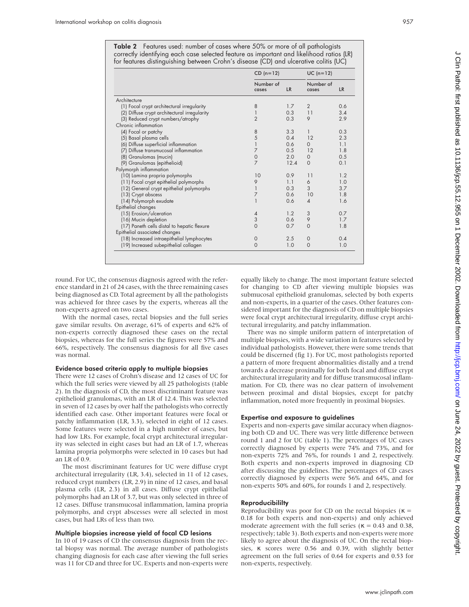Table 2 Features used: number of cases where 50% or more of all pathologists correctly identifying each case selected feature as important and likelihood ratios (LR) for features distinguishing between Crohn's disease (CD) and ulcerative colitis (UC)

|                                              | $CD (n=12)$        |           | $UC (n=12)$        |           |
|----------------------------------------------|--------------------|-----------|--------------------|-----------|
|                                              | Number of<br>cases | <b>LR</b> | Number of<br>cases | <b>LR</b> |
| Architecture                                 |                    |           |                    |           |
| (1) Focal crypt architectural irregularity   | 8                  | 1.7       | $\overline{2}$     | 0.6       |
| (2) Diffuse crypt architectural irregularity |                    | 0.3       | 11                 | 3.4       |
| (3) Reduced crypt numbers/atrophy            | $\overline{2}$     | 0.3       | 9                  | 2.9       |
| Chronic inflammation                         |                    |           |                    |           |
| (4) Focal or patchy                          | 8                  | 3.3       | 1                  | 0.3       |
| (5) Basal plasma cells                       | 5                  | 0.4       | 12                 | 2.3       |
| (6) Diffuse superficial inflammation         |                    | 0.6       | $\Omega$           | 1.1       |
| (7) Diffuse transmucosal inflammation        | $\overline{7}$     | 0.5       | 12                 | 1.8       |
| (8) Granulomas (mucin)                       | $\mathbf 0$        | 2.0       | $\Omega$           | 0.5       |
| (9) Granulomas (epithelioid)                 | $\overline{7}$     | 12.4      | $\Omega$           | 0.1       |
| Polymorph inflammation                       |                    |           |                    |           |
| (10) Lamina propria polymorphs               | 10                 | 0.9       | 11                 | 1.2       |
| (11) Focal crypt epithelial polymorphs       | 9                  | 1.1       | 6                  | 1.0       |
| (12) General crypt epithelial polymorphs     |                    | 0.3       | 3                  | 3.7       |
| (13) Crypt abscess                           | $\overline{7}$     | 0.6       | 10                 | 1.8       |
| (14) Polymorph exudate                       |                    | 0.6       | $\overline{4}$     | 1.6       |
| Epithelial changes                           |                    |           |                    |           |
| (15) Erosion/ulceration                      | $\overline{4}$     | 1.2       | 3                  | 0.7       |
| (16) Mucin depletion                         | 3                  | 0.6       | 9                  | 1.7       |
| (17) Paneth cells distal to hepatic flexure  | $\Omega$           | 0.7       | $\Omega$           | 1.8       |
| Epithelial associated changes                |                    |           |                    |           |
| (18) Increased intraepithelial lymphocytes   | $\Omega$           | 2.5       | $\Omega$           | 0.4       |
| (19) Increased subepithelial collagen        | $\Omega$           | 1.0       | $\Omega$           | 1.0       |

round. For UC, the consensus diagnosis agreed with the reference standard in 21 of 24 cases, with the three remaining cases being diagnosed as CD. Total agreement by all the pathologists was achieved for three cases by the experts, whereas all the non-experts agreed on two cases.

With the normal cases, rectal biopsies and the full series gave similar results. On average, 61% of experts and 62% of non-experts correctly diagnosed these cases on the rectal biopsies, whereas for the full series the figures were 57% and 66%, respectively. The consensus diagnosis for all five cases was normal.

#### Evidence based criteria apply to multiple biopsies

There were 12 cases of Crohn's disease and 12 cases of UC for which the full series were viewed by all 25 pathologists (table 2). In the diagnosis of CD, the most discriminant feature was epithelioid granulomas, with an LR of 12.4. This was selected in seven of 12 cases by over half the pathologists who correctly identified each case. Other important features were focal or patchy inflammation (LR, 3.3), selected in eight of 12 cases. Some features were selected in a high number of cases, but had low LRs. For example, focal crypt architectural irregularity was selected in eight cases but had an LR of 1.7, whereas lamina propria polymorphs were selected in 10 cases but had an LR of 0.9.

The most discriminant features for UC were diffuse crypt architectural irregularity (LR, 3.4), selected in 11 of 12 cases, reduced crypt numbers (LR, 2.9) in nine of 12 cases, and basal plasma cells (LR, 2.3) in all cases. Diffuse crypt epithelial polymorphs had an LR of 3.7, but was only selected in three of 12 cases. Diffuse transmucosal inflammation, lamina propria polymorphs, and crypt abscesses were all selected in most cases, but had LRs of less than two.

#### Multiple biopsies increase yield of focal CD lesions

In 10 of 19 cases of CD the consensus diagnosis from the rectal biopsy was normal. The average number of pathologists changing diagnosis for each case after viewing the full series was 11 for CD and three for UC. Experts and non-experts were equally likely to change. The most important feature selected for changing to CD after viewing multiple biopsies was submucosal epithelioid granulomas, selected by both experts and non-experts, in a quarter of the cases. Other features considered important for the diagnosis of CD on multiple biopsies were focal crypt architectural irregularity, diffuse crypt architectural irregularity, and patchy inflammation.

There was no simple uniform pattern of interpretation of multiple biopsies, with a wide variation in features selected by individual pathologists. However, there were some trends that could be discerned (fig 1). For UC, most pathologists reported a pattern of more frequent abnormalities distally and a trend towards a decrease proximally for both focal and diffuse crypt architectural irregularity and for diffuse transmucosal inflammation. For CD, there was no clear pattern of involvement between proximal and distal biopsies, except for patchy inflammation, noted more frequently in proximal biopsies.

#### Expertise and exposure to guidelines

Experts and non-experts gave similar accuracy when diagnosing both CD and UC. There was very little difference between round 1 and 2 for UC (table 1). The percentages of UC cases correctly diagnosed by experts were 74% and 73%, and for non-experts 72% and 76%, for rounds 1 and 2, respectively. Both experts and non-experts improved in diagnosing CD after discussing the guidelines. The percentages of CD cases correctly diagnosed by experts were 56% and 64%, and for non-experts 50% and 60%, for rounds 1 and 2, respectively.

#### **Reproducibililty**

Reproducibility was poor for CD on the rectal biopsies ( $\kappa$  = 0.18 for both experts and non-experts) and only achieved moderate agreement with the full series ( $\kappa = 0.43$  and 0.38, respectively; table 3). Both experts and non-experts were more likely to agree about the diagnosis of UC. On the rectal biopsies, κ scores were 0.56 and 0.39, with slightly better agreement on the full series of 0.64 for experts and 0.53 for non-experts, respectively.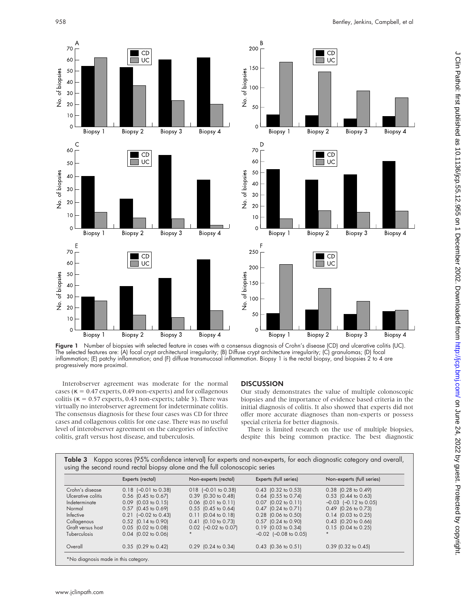

Figure 1 Number of biopsies with selected feature in cases with a consensus diagnosis of Crohn's disease (CD) and ulcerative colitis (UC). The selected features are: (A) focal crypt architectural irregularity; (B) Diffuse crypt architecture irregularity; (C) granulomas; (D) focal inflammation; (E) patchy inflammation; and (F) diffuse transmucosal inflammation. Biopsy 1 is the rectal biopsy, and biopsies 2 to 4 are progressively more proximal.

Interobserver agreement was moderate for the normal cases ( $\kappa = 0.47$  experts, 0.49 non-experts) and for collagenous colitis ( $\kappa = 0.57$  experts, 0.43 non-experts; table 3). There was virtually no interobserver agreement for indeterminate colitis. The consensus diagnosis for these four cases was CD for three cases and collagenous colitis for one case. There was no useful level of interobserver agreement on the categories of infective colitis, graft versus host disease, and tuberculosis.

# **DISCUSSION**

Our study demonstrates the value of multiple colonoscopic biopsies and the importance of evidence based criteria in the initial diagnosis of colitis. It also showed that experts did not offer more accurate diagnoses than non-experts or possess special criteria for better diagnosis.

There is limited research on the use of multiple biopsies, despite this being common practice. The best diagnostic

|                    | Experts (rectal)                 | Non-experts (rectal)             | Experts (full series)            | Non-experts (full series) |
|--------------------|----------------------------------|----------------------------------|----------------------------------|---------------------------|
| Crohn's disease    | $0.18$ $[-0.01$ to $0.38]$       | $018$ $[-0.01$ to 0.38)          | $0.43$ (0.32 to 0.53)            | $0.38$ $(0.28$ to $0.49)$ |
| Ulcerative colitis | $0.56$ $(0.45$ to $0.67)$        | $0.39$ (0.30 to 0.48)            | $0.64$ (0.55 to 0.74)            | $0.53$ (0.44 to 0.63)     |
| Indeterminate      | $0.09$ (0.03 to 0.15)            | $0.06$ $(0.01$ to $0.11)$        | $0.07$ $(0.02 \text{ to } 0.11)$ | $-0.03$ $[-0.12$ to 0.05) |
| Normal             | 0.57 (0.45 to 0.69)              | $0.55$ $(0.45$ to $0.64)$        | $0.47$ (0.24 to 0.71)            | 0.49 (0.26 to 0.73)       |
| Infective          | $0.21$ $[-0.02$ to $0.43]$       | $0.11$ $(0.04 \text{ to } 0.18)$ | $0.28$ (0.06 to 0.50)            | $0.14$ $(0.03$ to $0.25)$ |
| Collagenous        | 0.52 (0.14 to 0.90)              | $0.41$ (0.10 to 0.73)            | 0.57 (0.24 to 0.90)              | 0.43 (0.20 to 0.66)       |
| Graft versus host  | 0.05 (0.02 to 0.08)              | $0.02$ $[-0.02$ to $0.07]$       | $0.19$ (0.03 to 0.34)            | $0.15$ (0.04 to 0.25)     |
| Tuberculosis       | $0.04$ $(0.02 \text{ to } 0.06)$ |                                  | $-0.02$ $[-0.08$ to 0.05)        |                           |
| Overall            | $0.35$ (0.29 to 0.42)            | $0.29$ (0.24 to 0.34)            | $0.43$ (0.36 to 0.51)            | $0.39$ (0.32 to 0.45)     |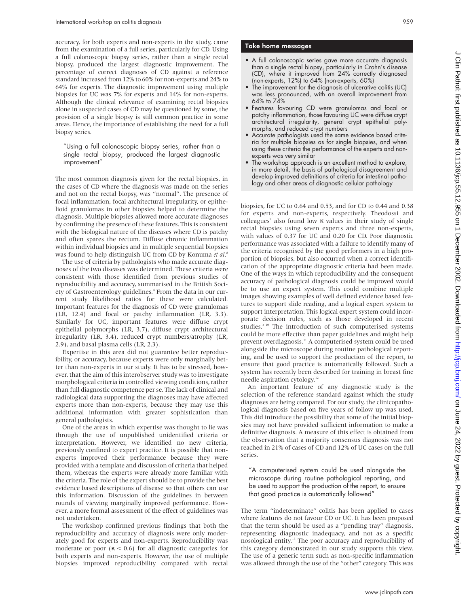accuracy, for both experts and non-experts in the study, came from the examination of a full series, particularly for CD. Using a full colonoscopic biopsy series, rather than a single rectal biopsy, produced the largest diagnostic improvement. The percentage of correct diagnoses of CD against a reference standard increased from 12% to 60% for non-experts and 24% to 64% for experts. The diagnostic improvement using multiple biopsies for UC was 7% for experts and 14% for non-experts. Although the clinical relevance of examining rectal biopsies alone in suspected cases of CD may be questioned by some, the provision of a single biopsy is still common practice in some areas. Hence, the importance of establishing the need for a full biopsy series.

"Using a full colonoscopic biopsy series, rather than a single rectal biopsy, produced the largest diagnostic improvement"

The most common diagnosis given for the rectal biopsies, in the cases of CD where the diagnosis was made on the series and not on the rectal biopsy, was "normal". The presence of focal inflammation, focal architectural irregularity, or epithelioid granulomas in other biopsies helped to determine the diagnosis. Multiple biopsies allowed more accurate diagnoses by confirming the presence of these features. This is consistent with the biological nature of the diseases where CD is patchy and often spares the rectum. Diffuse chronic inflammation within individual biopsies and in multiple sequential biopsies was found to help distinguish UC from CD by Konuma *et al*. 8

The use of criteria by pathologists who made accurate diagnoses of the two diseases was determined. These criteria were consistent with those identified from previous studies of reproducibility and accuracy, summarised in the British Society of Gastroenterology guidelines.<sup>4</sup> From the data in our current study likelihood ratios for these were calculated. Important features for the diagnosis of CD were granulomas (LR, 12.4) and focal or patchy inflammation (LR, 3.3). Similarly for UC, important features were diffuse crypt epithelial polymorphs (LR, 3.7), diffuse crypt architectural irregularity (LR, 3.4), reduced crypt numbers/atrophy (LR, 2.9), and basal plasma cells (LR, 2.3).

Expertise in this area did not guarantee better reproducibility, or accuracy, because experts were only marginally better than non-experts in our study. It has to be stressed, however, that the aim of this interobserver study was to investigate morphological criteria in controlled viewing conditions, rather than full diagnostic competence per se. The lack of clinical and radiological data supporting the diagnoses may have affected experts more than non-experts, because they may use this additional information with greater sophistication than general pathologists.

One of the areas in which expertise was thought to lie was through the use of unpublished unidentified criteria or interpretation. However, we identified no new criteria, previously confined to expert practice. It is possible that nonexperts improved their performance because they were provided with a template and discussion of criteria that helped them, whereas the experts were already more familiar with the criteria. The role of the expert should be to provide the best evidence based descriptions of disease so that others can use this information. Discussion of the guidelines in between rounds of viewing marginally improved performance. However, a more formal assessment of the effect of guidelines was not undertaken.

The workshop confirmed previous findings that both the reproducibility and accuracy of diagnosis were only moderately good for experts and non-experts. Reproducibility was moderate or poor  $(\kappa < 0.6)$  for all diagnostic categories for both experts and non-experts. However, the use of multiple biopsies improved reproducibility compared with rectal

### Take home messages

- A full colonoscopic series gave more accurate diagnosis than a single rectal biopsy, particularly in Crohn's disease (CD), where it improved from 24% correctly diagnosed (non-experts, 12%) to 64% (non-experts, 60%)
- The improvement for the diagnosis of ulcerative colitis (UC) was less pronounced, with an overall improvement from 64% to 74%
- Features favouring CD were granulomas and focal or patchy inflammation, those favouring UC were diffuse crypt architectural irregularity, general crypt epithelial polymorphs, and reduced crypt numbers
- Accurate pathologists used the same evidence based criteria for multiple biopsies as for single biopsies, and when using these criteria the performance of the experts and nonexperts was very similar
- The workshop approach is an excellent method to explore, in more detail, the basis of pathological disagreement and develop improved definitions of criteria for intestinal pathology and other areas of diagnostic cellular pathology

biopsies, for UC to 0.64 and 0.53, and for CD to 0.44 and 0.38 for experts and non-experts, respectively. Theodossi and colleagues<sup>9</sup> also found low  $\kappa$  values in their study of single rectal biopsies using seven experts and three non-experts, with values of 0.37 for UC and 0.20 for CD. Poor diagnostic performance was associated with a failure to identify many of the criteria recognised by the good performers in a high proportion of biopsies, but also occurred when a correct identification of the appropriate diagnostic criteria had been made. One of the ways in which reproducibility and the consequent accuracy of pathological diagnosis could be improved would be to use an expert system. This could combine multiple images showing examples of well defined evidence based features to support slide reading, and a logical expert system to support interpretation. This logical expert system could incorporate decision rules, such as those developed in recent studies.<sup>3 10</sup> The introduction of such computerised systems could be more effective than paper guidelines and might help prevent overdiagnosis.<sup>11</sup> A computerised system could be used alongside the microscope during routine pathological reporting, and be used to support the production of the report, to ensure that good practice is automatically followed. Such a system has recently been described for training in breast fine needle aspiration cytology.<sup>12</sup>

An important feature of any diagnostic study is the selection of the reference standard against which the study diagnoses are being compared. For our study, the clinicopathological diagnosis based on five years of follow up was used. This did introduce the possibility that some of the initial biopsies may not have provided sufficient information to make a definitive diagnosis. A measure of this effect is obtained from the observation that a majority consensus diagnosis was not reached in 21% of cases of CD and 12% of UC cases on the full series.

"A computerised system could be used alongside the microscope during routine pathological reporting, and be used to support the production of the report, to ensure that good practice is automatically followed"

The term "indeterminate" colitis has been applied to cases where features do not favour CD or UC. It has been proposed that the term should be used as a "pending tray" diagnosis, representing diagnostic inadequacy, and not as a specific nosological entity.13 The poor accuracy and reproducibility of this category demonstrated in our study supports this view. The use of a generic term such as non-specific inflammation was allowed through the use of the "other" category. This was